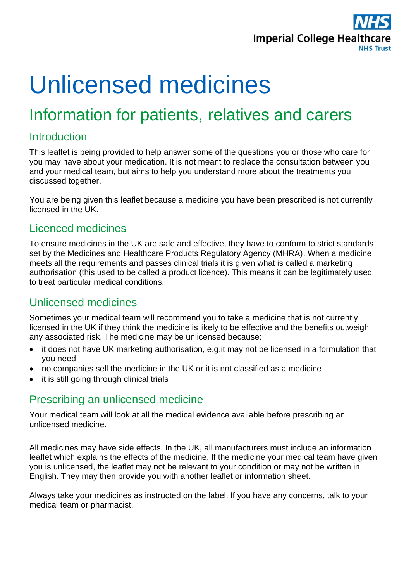

# Unlicensed medicines

# Information for patients, relatives and carers

# **Introduction**

This leaflet is being provided to help answer some of the questions you or those who care for you may have about your medication. It is not meant to replace the consultation between you and your medical team, but aims to help you understand more about the treatments you discussed together.

You are being given this leaflet because a medicine you have been prescribed is not currently licensed in the UK.

#### Licenced medicines

To ensure medicines in the UK are safe and effective, they have to conform to strict standards set by the Medicines and Healthcare Products Regulatory Agency (MHRA). When a medicine meets all the requirements and passes clinical trials it is given what is called a marketing authorisation (this used to be called a product licence). This means it can be legitimately used to treat particular medical conditions.

# Unlicensed medicines

Sometimes your medical team will recommend you to take a medicine that is not currently licensed in the UK if they think the medicine is likely to be effective and the benefits outweigh any associated risk. The medicine may be unlicensed because:

- it does not have UK marketing authorisation, e.g.it may not be licensed in a formulation that you need
- no companies sell the medicine in the UK or it is not classified as a medicine
- it is still going through clinical trials

# Prescribing an unlicensed medicine

Your medical team will look at all the medical evidence available before prescribing an unlicensed medicine.

All medicines may have side effects. In the UK, all manufacturers must include an information leaflet which explains the effects of the medicine. If the medicine your medical team have given you is unlicensed, the leaflet may not be relevant to your condition or may not be written in English. They may then provide you with another leaflet or information sheet.

Always take your medicines as instructed on the label. If you have any concerns, talk to your medical team or pharmacist.